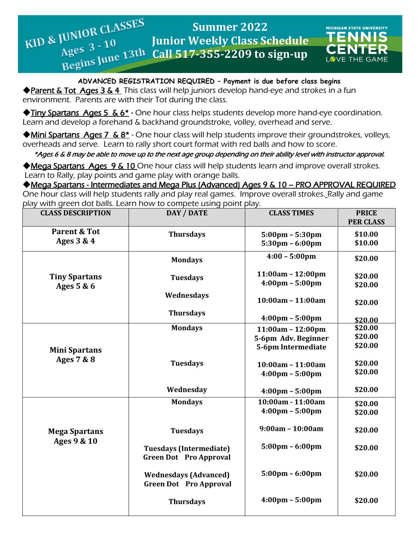

#### **ADVANCED REGISTRATION REQUIRED – Payment is due before class begins**

◆ Parent & Tot Ages 3 & 4 This class will help juniors develop hand-eye and strokes in a fun environment. Parents are with their Tot during the class.

◆Tiny Spartans Ages 5 & 6\* *-* One hour class helps students develop more hand-eye coordination. Learn and develop a forehand & backhand groundstroke, volley, overhead and serve.

◆Mini Spartans Ages 7 & 8<sup>\*</sup> - One hour class will help students improve their groundstrokes, volleys, overheads and serve. Learn to rally short court format with red balls and how to score.

\*Ages 6 & 8 may be able to move up to the next age group depending on their ability level with instructor approval.

◆Mega Spartans Ages 9 & 10 One hour class will help students learn and improve overall strokes. Learn to Rally, play points and game play with orange balls.

◆Mega Spartans - Intermediates and Mega Plus (Advanced) Ages 9 & 10 – PRO APPROVAL REQUIRED One hour class will help students rally and play real games. Improve overall strokes. Rally and game

play with green dot balls. Learn how to compete using point play.

| <b>CLASS DESCRIPTION</b>              | DAY / DATE                                                      | <b>CLASS TIMES</b>                                                     | <b>PRICE</b><br><b>PER CLASS</b> |
|---------------------------------------|-----------------------------------------------------------------|------------------------------------------------------------------------|----------------------------------|
| <b>Parent &amp; Tot</b><br>Ages 3 & 4 | <b>Thursdays</b>                                                | $5:00 \text{pm} - 5:30 \text{pm}$<br>$5:30 \text{pm} - 6:00 \text{pm}$ | \$10.00<br>\$10.00               |
|                                       | <b>Mondays</b>                                                  | $4:00 - 5:00 \text{pm}$                                                | \$20.00                          |
| <b>Tiny Spartans</b><br>Ages 5 & 6    | <b>Tuesdays</b>                                                 | $11:00am - 12:00pm$<br>$4:00 \text{pm} - 5:00 \text{pm}$               | \$20.00<br>\$20.00               |
|                                       | Wednesdays                                                      | $10:00am - 11:00am$                                                    | \$20.00                          |
|                                       | <b>Thursdays</b>                                                | $4:00 \text{pm} - 5:00 \text{pm}$                                      | \$20.00                          |
| <b>Mini Spartans</b><br>Ages 7 & 8    | <b>Mondays</b>                                                  | $11:00am - 12:00pm$<br>5-6pm Adv. Beginner<br>5-6pm Intermediate       | \$20.00<br>\$20.00<br>\$20.00    |
|                                       | <b>Tuesdays</b>                                                 | $10:00am - 11:00am$<br>$4:00 \text{pm} - 5:00 \text{pm}$               | \$20.00<br>\$20.00               |
|                                       | Wednesday                                                       | $4:00 \text{pm} - 5:00 \text{pm}$                                      | \$20.00                          |
|                                       | <b>Mondays</b>                                                  | 10:00am - 11:00am<br>$4:00 \text{pm} - 5:00 \text{pm}$                 | \$20.00<br>\$20.00               |
| <b>Mega Spartans</b><br>Ages 9 & 10   | <b>Tuesdays</b>                                                 | $9:00am - 10:00am$                                                     | \$20.00                          |
|                                       | <b>Tuesdays (Intermediate)</b><br><b>Green Dot Pro Approval</b> | $5:00 \text{pm} - 6:00 \text{pm}$                                      | \$20.00                          |
|                                       | <b>Wednesdays (Advanced)</b><br><b>Green Dot Pro Approval</b>   | $5:00 \text{pm} - 6:00 \text{pm}$                                      | \$20.00                          |
|                                       | <b>Thursdays</b>                                                | $4:00 \text{pm} - 5:00 \text{pm}$                                      | \$20.00                          |